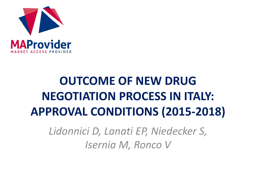

# **OUTCOME OF NEW DRUG NEGOTIATION PROCESS IN ITALY: APPROVAL CONDITIONS (2015-2018)**

*Lidonnici D, Lanati EP, Niedecker S, Isernia M, Ronco V*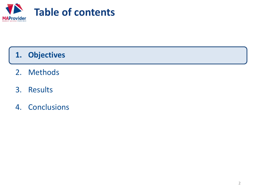

## **1. Objectives**

- 2. Methods
- 3. Results
- 4. Conclusions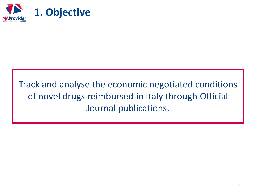

## Track and analyse the economic negotiated conditions of novel drugs reimbursed in Italy through Official Journal publications.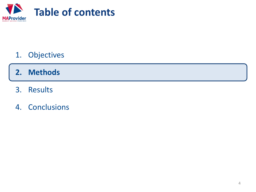

1. Objectives

## **2. Methods**

- 3. Results
- 4. Conclusions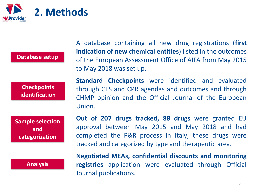

#### **Database setup**

**Checkpoints identification**

**Sample selection and categorization**

**Analysis**

A database containing all new drug registrations (**first indication of new chemical entities**) listed in the outcomes of the European Assessment Office of AIFA from May 2015 to May 2018 was set up.

**Standard Checkpoints** were identified and evaluated through CTS and CPR agendas and outcomes and through CHMP opinion and the Official Journal of the European Union.

**Out of 207 drugs tracked, 88 drugs** were granted EU approval between May 2015 and May 2018 and had completed the P&R process in Italy; these drugs were tracked and categorized by type and therapeutic area.

**Negotiated MEAs, confidential discounts and monitoring registries** application were evaluated through Official Journal publications.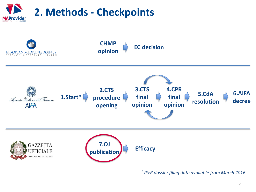

**CHMP opinion EC decision** EUROPEAN MEDICINES AGENCY NCE MEDICINES HEALTH **3.CTS 4.CPR 2.CTS 5.CdA 6.AIFA 1.Start\* procedure final final** Agenzia Italiana del Farmaco **decree resolution opinion opinion**  $A$  $A$ **opening 7.OJ GAZZETTA publication Efficacy UFFICIALE DELLA REPUBBLICA ITALIANA** 

*\* P&R dossier filing date available from March 2016*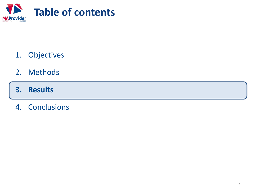

- 1. Objectives
- 2. Methods
- **3. Results**
- 4. Conclusions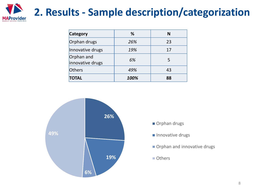

| <b>Category</b>                | %    | N  |  |  |
|--------------------------------|------|----|--|--|
| Orphan drugs                   | 26%  | 23 |  |  |
| Innovative drugs               | 19%  | 17 |  |  |
| Orphan and<br>innovative drugs | 6%   | 5  |  |  |
| Others                         | 49%  | 43 |  |  |
| <b>TOTAL</b>                   | 100% | 88 |  |  |



- Orphan drugs
- Innovative drugs
- Orphan and innovative drugs
- Others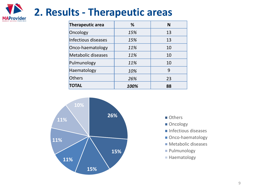

| Therapeutic area    | %    | N  |  |  |
|---------------------|------|----|--|--|
| Oncology            | 15%  | 13 |  |  |
| Infectious diseases | 15%  | 13 |  |  |
| Onco-haematology    | 11%  | 10 |  |  |
| Metabolic diseases  | 11%  | 10 |  |  |
| Pulmunology         | 11%  | 10 |  |  |
| Haematology         | 10%  | 9  |  |  |
| Others              | 26%  | 23 |  |  |
| <b>TOTAL</b>        | 100% | 88 |  |  |



- **Others**
- Oncology
- $\blacksquare$  Infectious diseases
- Onco-haematology
- **Metabolic diseases**
- **Pulmunology**
- Haematology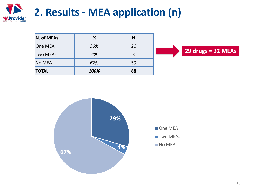

| N. of MEAs      | %    | N  |  |  |  |
|-----------------|------|----|--|--|--|
| One MEA         | 30%  | 26 |  |  |  |
| <b>Two MEAs</b> | 4%   | 3  |  |  |  |
| No MEA          | 67%  | 59 |  |  |  |
| <b>TOTAL</b>    | 100% | 88 |  |  |  |



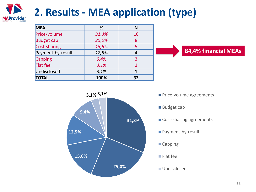

# **2. Results - MEA application (type)**

| <b>MEA</b>        | %     | N  |
|-------------------|-------|----|
| Price/volume      | 31,3% | 10 |
| <b>Budget cap</b> | 25,0% | 8  |
| Cost-sharing      | 15,6% | 5  |
| Payment-by-result | 12,5% | 4  |
| Capping           | 9,4%  | 3  |
| <b>Flat fee</b>   | 3,1%  |    |
| Undisclosed       | 3,1%  |    |
| <b>TOTAL</b>      | 100%  | 32 |





- 
- Budget cap
- Cost-sharing agreements
- Payment-by-result
- Capping
- Flat fee
- **Undisclosed**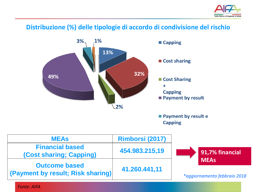

#### **Distribuzione (%) delle tipologie di accordo di condivisione del rischio**



**Capping** 

| <b>MEAS</b>                                                      | Rimborsi (2017) |                                             |
|------------------------------------------------------------------|-----------------|---------------------------------------------|
| <b>Financial based</b><br>(Cost sharing; Capping)                | 454.983.215,19  | 91,7% financial                             |
| <b>Outcome based</b><br><b>(Payment by result; Risk sharing)</b> | 41.260.441,11   | <b>MEAs</b><br>*aggiornamento febbraio 2018 |

*Fonte: AIFA*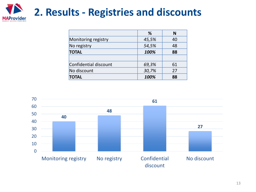

|                       | %     | N  |  |
|-----------------------|-------|----|--|
| Monitoring registry   | 45,5% | 40 |  |
| No registry           | 54,5% | 48 |  |
| <b>TOTAL</b>          | 100%  | 88 |  |
|                       |       |    |  |
| Confidential discount | 69,3% | 61 |  |
| No discount           | 30,7% | 27 |  |
| <b>TOTAL</b>          | 100%  | 88 |  |

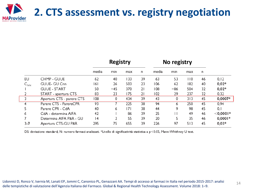

|                            |                           | <b>Registry</b> |     |     | No registry |       |     |     |    |             |
|----------------------------|---------------------------|-----------------|-----|-----|-------------|-------|-----|-----|----|-------------|
|                            |                           | media           | min | max | n.          | media | min | max | n. |             |
| EU                         | CHMP - GUUE               | 62              | 40  | 133 | 39          | 63    | 53  | 110 | 46 | 0, 12       |
| $\mathsf{C}_{\mathsf{NN}}$ | GUUE- GU Cnn              | 161             | 26  | 503 | 23          | 106   | 62  | 182 | 40 | $0,02*$     |
|                            | <b>GUUE - START</b>       | 50              | -45 | 370 | 21          | 108   | -86 | 504 | 32 | $0,02*$     |
|                            | START - apertura CTS      | 83              | 23  | 175 | 21          | 102   | 29  | 237 | 32 | 0,32        |
| 3.                         | Apertura CTS - parere CTS | 108             | 0   | 434 | 39          | 43    | 0   | 313 | 45 | $0,0007*$   |
|                            | Parere CTS - ParereCPR    | 93              |     | 225 | 38          | 94    | 6   | 250 | 45 | 0,94        |
| 5                          | Parere CPR - CdA          | 40              | 6   | 7   | 38          | 44    | 9   | 98  | 45 | 0,1         |
| 6                          | CdA - determina AIFA      | 42              |     | 86  | 39          | 25    |     | 49  | 46 | $<$ 0,0001* |
|                            | Determina AIFA P&R - GU   | 14              | 2   | 55  | 39          | 20    | 5   | 35  | 46 | $0,0001*$   |
| $3 - 7$                    | Apertura CTS-GU P&R       | 295             | 75  | 655 | 39          | 226   | 97  | 513 | 45 | $0,03*$     |

DS: deviazione standard; N: numero farmaci analizzati. \*Livello di significatività statistica a p<0.05, Mann-Whithney U test.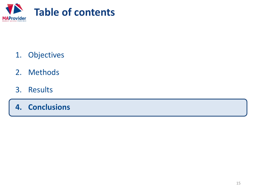

- 1. Objectives
- 2. Methods
- 3. Results
- **4. Conclusions**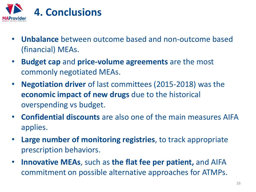

- **Unbalance** between outcome based and non-outcome based (financial) MEAs.
- **Budget cap** and **price-volume agreements** are the most commonly negotiated MEAs.
- **Negotiation driver** of last committees (2015-2018) was the **economic impact of new drugs** due to the historical overspending vs budget.
- **Confidential discounts** are also one of the main measures AIFA applies.
- **Large number of monitoring registries**, to track appropriate prescription behaviors.
- **Innovative MEAs**, such as **the flat fee per patient,** and AIFA commitment on possible alternative approaches for ATMPs.